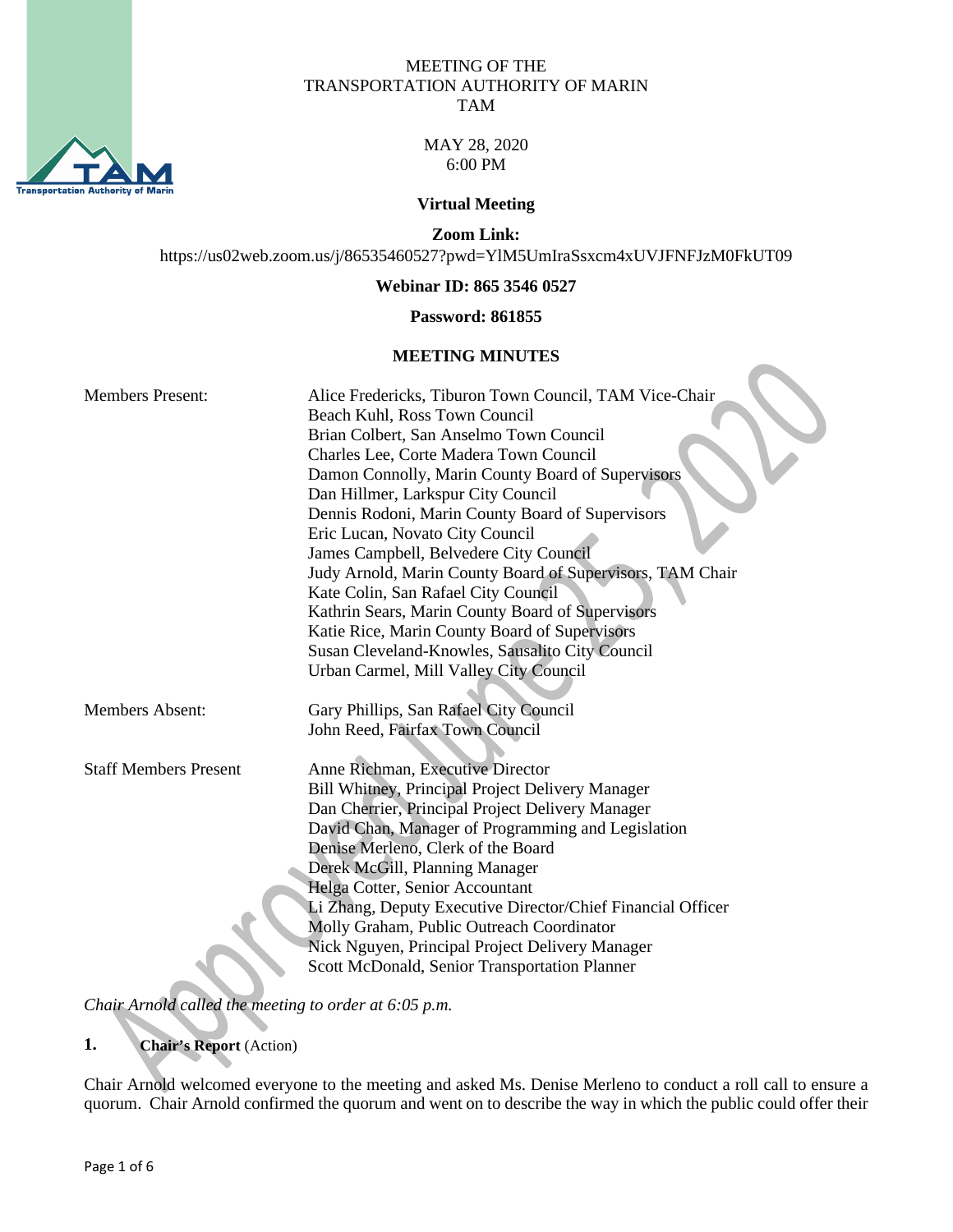

#### MEETING OF THE TRANSPORTATION AUTHORITY OF MARIN TAM

MAY 28, 2020 6:00 PM

#### **Virtual Meeting**

**Zoom Link:**

https://us02web.zoom.us/j/86535460527?pwd=YlM5UmIraSsxcm4xUVJFNFJzM0FkUT09

**Webinar ID: 865 3546 0527**

#### **Password: 861855**

#### **MEETING MINUTES**

| <b>Members Present:</b>      | Alice Fredericks, Tiburon Town Council, TAM Vice-Chair      |
|------------------------------|-------------------------------------------------------------|
|                              | Beach Kuhl, Ross Town Council                               |
|                              | Brian Colbert, San Anselmo Town Council                     |
|                              | Charles Lee, Corte Madera Town Council                      |
|                              | Damon Connolly, Marin County Board of Supervisors           |
|                              | Dan Hillmer, Larkspur City Council                          |
|                              | Dennis Rodoni, Marin County Board of Supervisors            |
|                              | Eric Lucan, Novato City Council                             |
|                              | James Campbell, Belvedere City Council                      |
|                              | Judy Arnold, Marin County Board of Supervisors, TAM Chair   |
|                              | Kate Colin, San Rafael City Council                         |
|                              | Kathrin Sears, Marin County Board of Supervisors            |
|                              | Katie Rice, Marin County Board of Supervisors               |
|                              | Susan Cleveland-Knowles, Sausalito City Council             |
|                              | Urban Carmel, Mill Valley City Council                      |
|                              |                                                             |
| <b>Members Absent:</b>       | Gary Phillips, San Rafael City Council                      |
|                              | John Reed, Fairfax Town Council                             |
|                              |                                                             |
| <b>Staff Members Present</b> | Anne Richman, Executive Director                            |
|                              | Bill Whitney, Principal Project Delivery Manager            |
|                              | Dan Cherrier, Principal Project Delivery Manager            |
|                              | David Chan, Manager of Programming and Legislation          |
|                              | Denise Merleno, Clerk of the Board                          |
|                              | Derek McGill, Planning Manager                              |
|                              | Helga Cotter, Senior Accountant                             |
|                              | Li Zhang, Deputy Executive Director/Chief Financial Officer |
|                              | Molly Graham, Public Outreach Coordinator                   |
|                              | Nick Nguyen, Principal Project Delivery Manager             |
|                              | Scott McDonald, Senior Transportation Planner               |

*Chair Arnold called the meeting to order at 6:05 p.m.*

## **1. Chair's Report** (Action)

Chair Arnold welcomed everyone to the meeting and asked Ms. Denise Merleno to conduct a roll call to ensure a quorum. Chair Arnold confirmed the quorum and went on to describe the way in which the public could offer their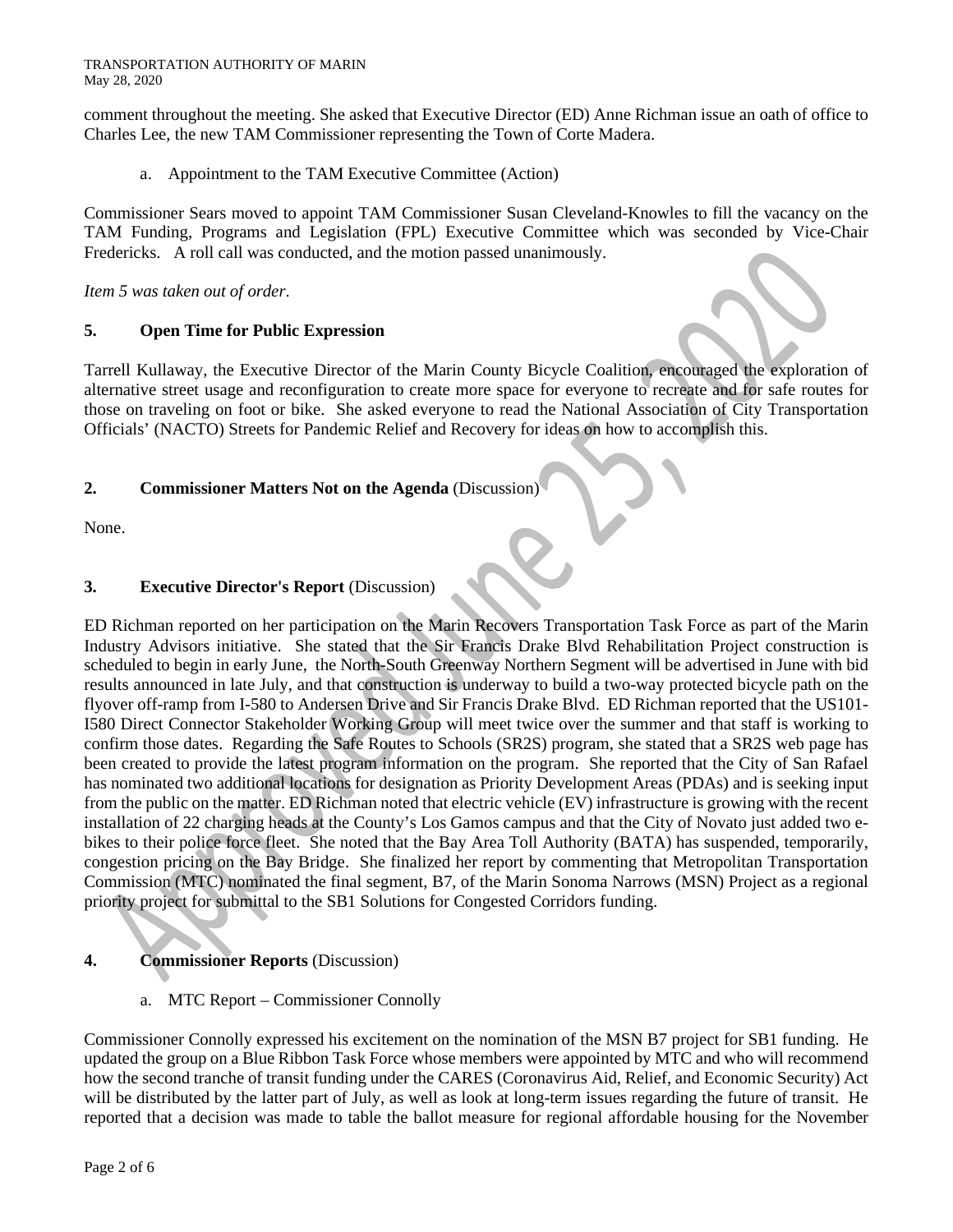comment throughout the meeting. She asked that Executive Director (ED) Anne Richman issue an oath of office to Charles Lee, the new TAM Commissioner representing the Town of Corte Madera.

a. Appointment to the TAM Executive Committee (Action)

Commissioner Sears moved to appoint TAM Commissioner Susan Cleveland-Knowles to fill the vacancy on the TAM Funding, Programs and Legislation (FPL) Executive Committee which was seconded by Vice-Chair Fredericks. A roll call was conducted, and the motion passed unanimously.

*Item 5 was taken out of order*.

## **5. Open Time for Public Expression**

Tarrell Kullaway, the Executive Director of the Marin County Bicycle Coalition, encouraged the exploration of alternative street usage and reconfiguration to create more space for everyone to recreate and for safe routes for those on traveling on foot or bike. She asked everyone to read the National Association of City Transportation Officials' (NACTO) Streets for Pandemic Relief and Recovery for ideas on how to accomplish this.

## **2. Commissioner Matters Not on the Agenda** (Discussion)

None.

## **3. Executive Director's Report** (Discussion)

ED Richman reported on her participation on the Marin Recovers Transportation Task Force as part of the Marin Industry Advisors initiative. She stated that the Sir Francis Drake Blvd Rehabilitation Project construction is scheduled to begin in early June, the North-South Greenway Northern Segment will be advertised in June with bid results announced in late July, and that construction is underway to build a two-way protected bicycle path on the flyover off-ramp from I-580 to Andersen Drive and Sir Francis Drake Blvd. ED Richman reported that the US101- I580 Direct Connector Stakeholder Working Group will meet twice over the summer and that staff is working to confirm those dates. Regarding the Safe Routes to Schools (SR2S) program, she stated that a SR2S web page has been created to provide the latest program information on the program. She reported that the City of San Rafael has nominated two additional locations for designation as Priority Development Areas (PDAs) and is seeking input from the public on the matter. ED Richman noted that electric vehicle (EV) infrastructure is growing with the recent installation of 22 charging heads at the County's Los Gamos campus and that the City of Novato just added two ebikes to their police force fleet. She noted that the Bay Area Toll Authority (BATA) has suspended, temporarily, congestion pricing on the Bay Bridge. She finalized her report by commenting that Metropolitan Transportation Commission (MTC) nominated the final segment, B7, of the Marin Sonoma Narrows (MSN) Project as a regional priority project for submittal to the SB1 Solutions for Congested Corridors funding.

## **4. Commissioner Reports** (Discussion)

a. MTC Report – Commissioner Connolly

Commissioner Connolly expressed his excitement on the nomination of the MSN B7 project for SB1 funding. He updated the group on a Blue Ribbon Task Force whose members were appointed by MTC and who will recommend how the second tranche of transit funding under the CARES (Coronavirus Aid, Relief, and Economic Security) Act will be distributed by the latter part of July, as well as look at long-term issues regarding the future of transit. He reported that a decision was made to table the ballot measure for regional affordable housing for the November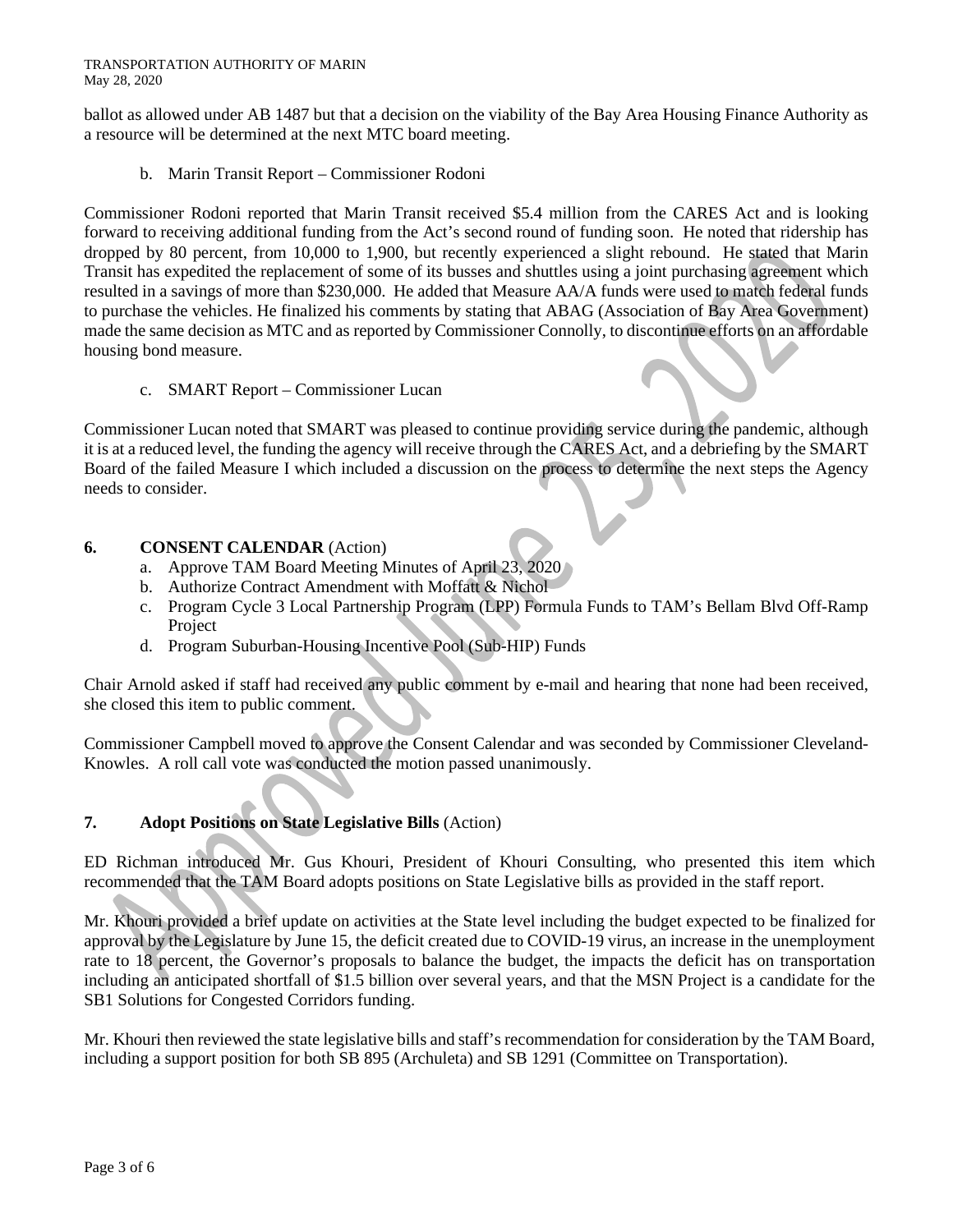#### TRANSPORTATION AUTHORITY OF MARIN May 28, 2020

ballot as allowed under AB 1487 but that a decision on the viability of the Bay Area Housing Finance Authority as a resource will be determined at the next MTC board meeting.

b. Marin Transit Report – Commissioner Rodoni

Commissioner Rodoni reported that Marin Transit received \$5.4 million from the CARES Act and is looking forward to receiving additional funding from the Act's second round of funding soon. He noted that ridership has dropped by 80 percent, from 10,000 to 1,900, but recently experienced a slight rebound. He stated that Marin Transit has expedited the replacement of some of its busses and shuttles using a joint purchasing agreement which resulted in a savings of more than \$230,000. He added that Measure AA/A funds were used to match federal funds to purchase the vehicles. He finalized his comments by stating that ABAG (Association of Bay Area Government) made the same decision as MTC and as reported by Commissioner Connolly, to discontinue efforts on an affordable housing bond measure.

c. SMART Report – Commissioner Lucan

Commissioner Lucan noted that SMART was pleased to continue providing service during the pandemic, although it is at a reduced level, the funding the agency will receive through the CARES Act, and a debriefing by the SMART Board of the failed Measure I which included a discussion on the process to determine the next steps the Agency needs to consider.

### **6. CONSENT CALENDAR** (Action)

- a. Approve TAM Board Meeting Minutes of April 23, 2020
- b. Authorize Contract Amendment with Moffatt & Nichol
- c. Program Cycle 3 Local Partnership Program (LPP) Formula Funds to TAM's Bellam Blvd Off-Ramp Project
- d. Program Suburban-Housing Incentive Pool (Sub-HIP) Funds

Chair Arnold asked if staff had received any public comment by e-mail and hearing that none had been received, she closed this item to public comment.

Commissioner Campbell moved to approve the Consent Calendar and was seconded by Commissioner Cleveland-Knowles. A roll call vote was conducted the motion passed unanimously.

### **7. Adopt Positions on State Legislative Bills** (Action)

ED Richman introduced Mr. Gus Khouri, President of Khouri Consulting, who presented this item which recommended that the TAM Board adopts positions on State Legislative bills as provided in the staff report.

Mr. Khouri provided a brief update on activities at the State level including the budget expected to be finalized for approval by the Legislature by June 15, the deficit created due to COVID-19 virus, an increase in the unemployment rate to 18 percent, the Governor's proposals to balance the budget, the impacts the deficit has on transportation including an anticipated shortfall of \$1.5 billion over several years, and that the MSN Project is a candidate for the SB1 Solutions for Congested Corridors funding.

Mr. Khouri then reviewed the state legislative bills and staff's recommendation for consideration by the TAM Board, including a support position for both SB 895 (Archuleta) and SB 1291 (Committee on Transportation).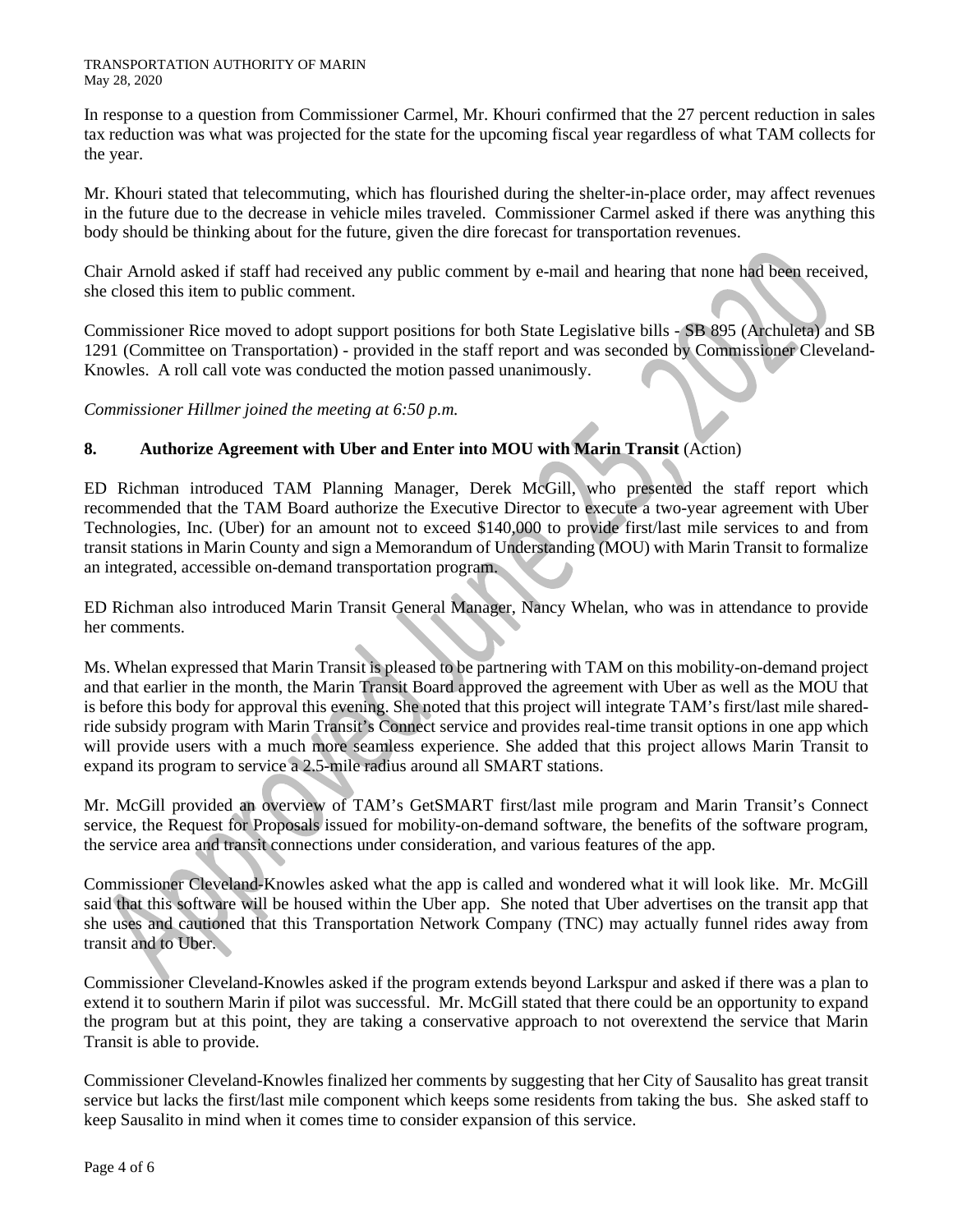In response to a question from Commissioner Carmel, Mr. Khouri confirmed that the 27 percent reduction in sales tax reduction was what was projected for the state for the upcoming fiscal year regardless of what TAM collects for the year.

Mr. Khouri stated that telecommuting, which has flourished during the shelter-in-place order, may affect revenues in the future due to the decrease in vehicle miles traveled. Commissioner Carmel asked if there was anything this body should be thinking about for the future, given the dire forecast for transportation revenues.

Chair Arnold asked if staff had received any public comment by e-mail and hearing that none had been received, she closed this item to public comment.

Commissioner Rice moved to adopt support positions for both State Legislative bills - SB 895 (Archuleta) and SB 1291 (Committee on Transportation) - provided in the staff report and was seconded by Commissioner Cleveland-Knowles. A roll call vote was conducted the motion passed unanimously.

*Commissioner Hillmer joined the meeting at 6:50 p.m.*

# **8. Authorize Agreement with Uber and Enter into MOU with Marin Transit** (Action)

ED Richman introduced TAM Planning Manager, Derek McGill, who presented the staff report which recommended that the TAM Board authorize the Executive Director to execute a two-year agreement with Uber Technologies, Inc. (Uber) for an amount not to exceed \$140,000 to provide first/last mile services to and from transit stations in Marin County and sign a Memorandum of Understanding (MOU) with Marin Transit to formalize an integrated, accessible on-demand transportation program.

ED Richman also introduced Marin Transit General Manager, Nancy Whelan, who was in attendance to provide her comments.

Ms. Whelan expressed that Marin Transit is pleased to be partnering with TAM on this mobility-on-demand project and that earlier in the month, the Marin Transit Board approved the agreement with Uber as well as the MOU that is before this body for approval this evening. She noted that this project will integrate TAM's first/last mile sharedride subsidy program with Marin Transit's Connect service and provides real-time transit options in one app which will provide users with a much more seamless experience. She added that this project allows Marin Transit to expand its program to service a 2.5-mile radius around all SMART stations.

Mr. McGill provided an overview of TAM's GetSMART first/last mile program and Marin Transit's Connect service, the Request for Proposals issued for mobility-on-demand software, the benefits of the software program, the service area and transit connections under consideration, and various features of the app.

Commissioner Cleveland-Knowles asked what the app is called and wondered what it will look like. Mr. McGill said that this software will be housed within the Uber app. She noted that Uber advertises on the transit app that she uses and cautioned that this Transportation Network Company (TNC) may actually funnel rides away from transit and to Uber.

Commissioner Cleveland-Knowles asked if the program extends beyond Larkspur and asked if there was a plan to extend it to southern Marin if pilot was successful. Mr. McGill stated that there could be an opportunity to expand the program but at this point, they are taking a conservative approach to not overextend the service that Marin Transit is able to provide.

Commissioner Cleveland-Knowles finalized her comments by suggesting that her City of Sausalito has great transit service but lacks the first/last mile component which keeps some residents from taking the bus. She asked staff to keep Sausalito in mind when it comes time to consider expansion of this service.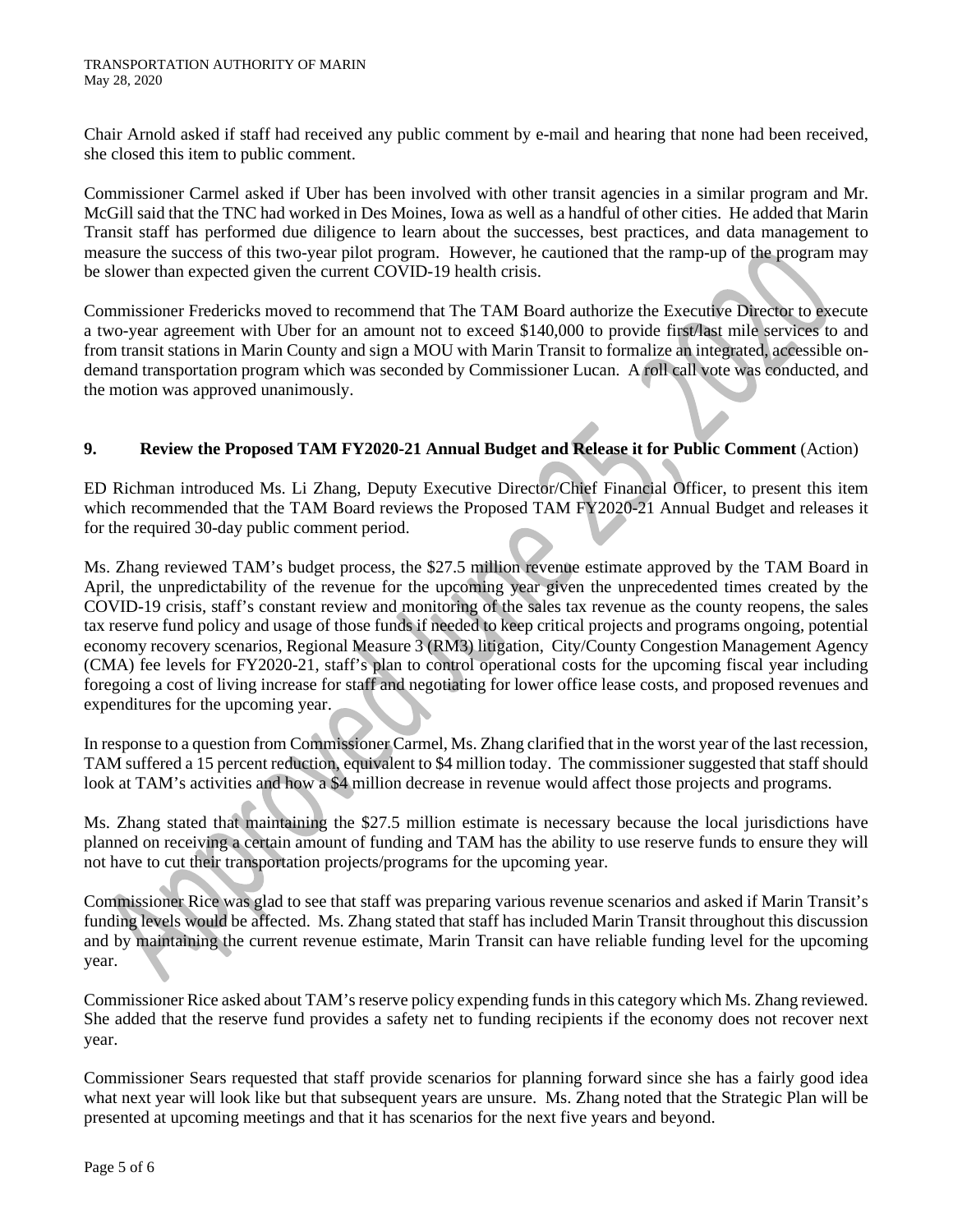Chair Arnold asked if staff had received any public comment by e-mail and hearing that none had been received, she closed this item to public comment.

Commissioner Carmel asked if Uber has been involved with other transit agencies in a similar program and Mr. McGill said that the TNC had worked in Des Moines, Iowa as well as a handful of other cities. He added that Marin Transit staff has performed due diligence to learn about the successes, best practices, and data management to measure the success of this two-year pilot program. However, he cautioned that the ramp-up of the program may be slower than expected given the current COVID-19 health crisis.

Commissioner Fredericks moved to recommend that The TAM Board authorize the Executive Director to execute a two-year agreement with Uber for an amount not to exceed \$140,000 to provide first/last mile services to and from transit stations in Marin County and sign a MOU with Marin Transit to formalize an integrated, accessible ondemand transportation program which was seconded by Commissioner Lucan. A roll call vote was conducted, and the motion was approved unanimously.

## **9. Review the Proposed TAM FY2020-21 Annual Budget and Release it for Public Comment** (Action)

ED Richman introduced Ms. Li Zhang, Deputy Executive Director/Chief Financial Officer, to present this item which recommended that the TAM Board reviews the Proposed TAM FY2020-21 Annual Budget and releases it for the required 30-day public comment period.

Ms. Zhang reviewed TAM's budget process, the \$27.5 million revenue estimate approved by the TAM Board in April, the unpredictability of the revenue for the upcoming year given the unprecedented times created by the COVID-19 crisis, staff's constant review and monitoring of the sales tax revenue as the county reopens, the sales tax reserve fund policy and usage of those funds if needed to keep critical projects and programs ongoing, potential economy recovery scenarios, Regional Measure 3 (RM3) litigation, City/County Congestion Management Agency (CMA) fee levels for FY2020-21, staff's plan to control operational costs for the upcoming fiscal year including foregoing a cost of living increase for staff and negotiating for lower office lease costs, and proposed revenues and expenditures for the upcoming year.

In response to a question from Commissioner Carmel, Ms. Zhang clarified that in the worst year of the last recession, TAM suffered a 15 percent reduction, equivalent to \$4 million today. The commissioner suggested that staff should look at TAM's activities and how a \$4 million decrease in revenue would affect those projects and programs.

Ms. Zhang stated that maintaining the \$27.5 million estimate is necessary because the local jurisdictions have planned on receiving a certain amount of funding and TAM has the ability to use reserve funds to ensure they will not have to cut their transportation projects/programs for the upcoming year.

Commissioner Rice was glad to see that staff was preparing various revenue scenarios and asked if Marin Transit's funding levels would be affected. Ms. Zhang stated that staff has included Marin Transit throughout this discussion and by maintaining the current revenue estimate, Marin Transit can have reliable funding level for the upcoming year.

Commissioner Rice asked about TAM's reserve policy expending funds in this category which Ms. Zhang reviewed. She added that the reserve fund provides a safety net to funding recipients if the economy does not recover next year.

Commissioner Sears requested that staff provide scenarios for planning forward since she has a fairly good idea what next year will look like but that subsequent years are unsure. Ms. Zhang noted that the Strategic Plan will be presented at upcoming meetings and that it has scenarios for the next five years and beyond.